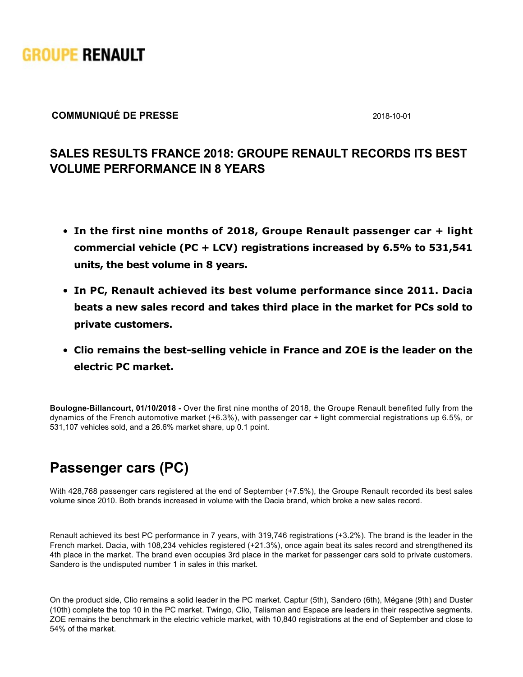

## **COMMUNIQUÉ DE PRESSE** 2018-10-01

## **SALES RESULTS FRANCE 2018: GROUPE RENAULT RECORDS ITS BEST VOLUME PERFORMANCE IN 8 YEARS**

- **In the first nine months of 2018, Groupe Renault passenger car + light commercial vehicle (PC + LCV) registrations increased by 6.5% to 531,541 units, the best volume in 8 years.**
- **In PC, Renault achieved its best volume performance since 2011. Dacia beats a new sales record and takes third place in the market for PCs sold to private customers.**
- **Clio remains the best-selling vehicle in France and ZOE is the leader on the electric PC market.**

**Boulogne-Billancourt, 01/10/2018** - Over the first nine months of 2018, the Groupe Renault benefited fully from the dynamics of the French automotive market (+6.3%), with passenger car + light commercial registrations up 6.5%, or 531,107 vehicles sold, and a 26.6% market share, up 0.1 point.

## **Passenger cars (PC)**

With 428,768 passenger cars registered at the end of September (+7.5%), the Groupe Renault recorded its best sales volume since 2010. Both brands increased in volume with the Dacia brand, which broke a new sales record.

Renault achieved its best PC performance in 7 years, with 319,746 registrations (+3.2%). The brand is the leader in the French market. Dacia, with 108,234 vehicles registered (+21.3%), once again beat its sales record and strengthened its 4th place in the market. The brand even occupies 3rd place in the market for passenger cars sold to private customers. Sandero is the undisputed number 1 in sales in this market.

On the product side, Clio remains a solid leader in the PC market. Captur (5th), Sandero (6th), Mégane (9th) and Duster (10th) complete the top 10 in the PC market. Twingo, Clio, Talisman and Espace are leaders in their respective segments. ZOE remains the benchmark in the electric vehicle market, with 10,840 registrations at the end of September and close to 54% of the market.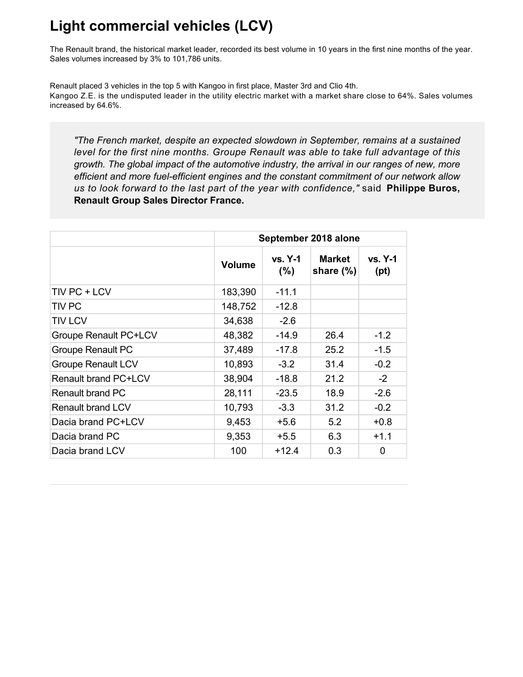## **Light commercial vehicles (LCV)**

The Renault brand, the historical market leader, recorded its best volume in 10 years in the first nine months of the year. Sales volumes increased by 3% to 101,786 units.

Renault placed 3 vehicles in the top 5 with Kangoo in first place, Master 3rd and Clio 4th. Kangoo Z.E. is the undisputed leader in the utility electric market with a market share close to 64%. Sales volumes increased by 64.6%.

*"The French market, despite an expected slowdown in September, remains at a sustained level for the first nine months. Groupe Renault was able to take full advantage of this growth. The global impact of the automotive industry, the arrival in our ranges of new, more efficient and more fuelefficient engines and the constant commitment of our network allow us to look forward to the last part of the year with confidence,"* said **Philippe Buros, Renault Group Sales Director France.**

|                             | September 2018 alone |                        |                               |                   |  |
|-----------------------------|----------------------|------------------------|-------------------------------|-------------------|--|
|                             | <b>Volume</b>        | <b>vs. Y-1</b><br>(% ) | <b>Market</b><br>share $(\%)$ | $vs. Y-1$<br>(pt) |  |
| TIV PC + LCV                | 183,390              | $-11.1$                |                               |                   |  |
| <b>TIV PC</b>               | 148,752              | $-12.8$                |                               |                   |  |
| <b>TIV LCV</b>              | 34,638               | $-2.6$                 |                               |                   |  |
| Groupe Renault PC+LCV       | 48,382               | $-14.9$                | 26.4                          | $-1.2$            |  |
| <b>Groupe Renault PC</b>    | 37,489               | $-17.8$                | 25.2                          | $-1.5$            |  |
| <b>Groupe Renault LCV</b>   | 10,893               | $-3.2$                 | 31.4                          | $-0.2$            |  |
| <b>Renault brand PC+LCV</b> | 38,904               | $-18.8$                | 21.2                          | $-2$              |  |
| Renault brand PC            | 28,111               | $-23.5$                | 18.9                          | $-2.6$            |  |
| <b>Renault brand LCV</b>    | 10,793               | $-3.3$                 | 31.2                          | $-0.2$            |  |
| Dacia brand PC+LCV          | 9,453                | $+5.6$                 | 5.2                           | $+0.8$            |  |
| Dacia brand PC              | 9,353                | $+5.5$                 | 6.3                           | $+1.1$            |  |
| Dacia brand LCV             | 100                  | $+12.4$                | 0.3                           | 0                 |  |